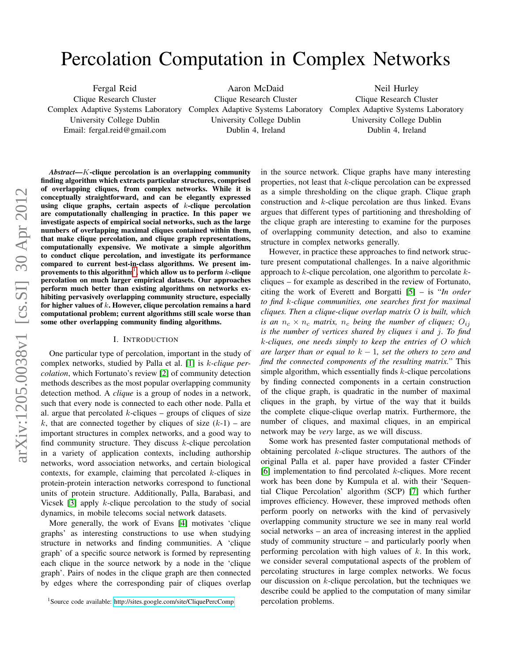# Percolation Computation in Complex Networks

Fergal Reid Clique Research Cluster Complex Adaptive Systems Laboratory Complex Adaptive Systems Laboratory Complex Adaptive Systems Laboratory University College Dublin Email: fergal.reid@gmail.com

Aaron McDaid Clique Research Cluster

University College Dublin Dublin 4, Ireland

Neil Hurley Clique Research Cluster University College Dublin Dublin 4, Ireland

*Abstract*—K-clique percolation is an overlapping community finding algorithm which extracts particular structures, comprised of overlapping cliques, from complex networks. While it is conceptually straightforward, and can be elegantly expressed using clique graphs, certain aspects of  $k$ -clique percolation are computationally challenging in practice. In this paper we investigate aspects of empirical social networks, such as the large numbers of overlapping maximal cliques contained within them, that make clique percolation, and clique graph representations, computationally expensive. We motivate a simple algorithm to conduct clique percolation, and investigate its performance compared to current best-in-class algorithms. We present improvements to this algorithm $^{\rm l}$ , which allow us to perform  $k$ -clique percolation on much larger empirical datasets. Our approaches perform much better than existing algorithms on networks exhibiting pervasively overlapping community structure, especially for higher values of  $k$ . However, clique percolation remains a hard computational problem; current algorithms still scale worse than some other overlapping community finding algorithms.

# I. INTRODUCTION

One particular type of percolation, important in the study of complex networks, studied by Palla et al. [\[1\]](#page-11-0) is k*-clique percolation*, which Fortunato's review [\[2\]](#page-11-1) of community detection methods describes as the most popular overlapping community detection method. A *clique* is a group of nodes in a network, such that every node is connected to each other node. Palla et al. argue that percolated  $k$ -cliques – groups of cliques of size k, that are connected together by cliques of size  $(k-1)$  – are important structures in complex networks, and a good way to find community structure. They discuss  $k$ -clique percolation in a variety of application contexts, including authorship networks, word association networks, and certain biological contexts, for example, claiming that percolated k-cliques in protein-protein interaction networks correspond to functional units of protein structure. Additionally, Palla, Barabasi, and Vicsek  $[3]$  apply k-clique percolation to the study of social dynamics, in mobile telecoms social network datasets.

More generally, the work of Evans [\[4\]](#page-11-3) motivates 'clique graphs' as interesting constructions to use when studying structure in networks and finding communities. A 'clique graph' of a specific source network is formed by representing each clique in the source network by a node in the 'clique graph'. Pairs of nodes in the clique graph are then connected by edges where the corresponding pair of cliques overlap in the source network. Clique graphs have many interesting properties, not least that k-clique percolation can be expressed as a simple thresholding on the clique graph. Clique graph construction and k-clique percolation are thus linked. Evans argues that different types of partitioning and thresholding of the clique graph are interesting to examine for the purposes of overlapping community detection, and also to examine structure in complex networks generally.

However, in practice these approaches to find network structure present computational challenges. In a naive algorithmic approach to  $k$ -clique percolation, one algorithm to percolate  $k$ cliques – for example as described in the review of Fortunato, citing the work of Everett and Borgatti [\[5\]](#page-11-4) – is "*In order to find* k*-clique communities, one searches first for maximal cliques. Then a clique-clique overlap matrix* O *is built, which is an*  $n_c \times n_c$  *matrix,*  $n_c$  *being the number of cliques;*  $O_{ij}$ *is the number of vertices shared by cliques* i *and* j*. To find* k*-cliques, one needs simply to keep the entries of* O *which are larger than or equal to*  $k - 1$ *, set the others to zero and find the connected components of the resulting matrix.*" This simple algorithm, which essentially finds  $k$ -clique percolations by finding connected components in a certain construction of the clique graph, is quadratic in the number of maximal cliques in the graph, by virtue of the way that it builds the complete clique-clique overlap matrix. Furthermore, the number of cliques, and maximal cliques, in an empirical network may be *very* large, as we will discuss.

Some work has presented faster computational methods of obtaining percolated  $k$ -clique structures. The authors of the original Palla et al. paper have provided a faster CFinder [\[6\]](#page-11-5) implementation to find percolated  $k$ -cliques. More recent work has been done by Kumpula et al. with their 'Sequential Clique Percolation' algorithm (SCP) [\[7\]](#page-11-6) which further improves efficiency. However, these improved methods often perform poorly on networks with the kind of pervasively overlapping community structure we see in many real world social networks – an area of increasing interest in the applied study of community structure – and particularly poorly when performing percolation with high values of  $k$ . In this work, we consider several computational aspects of the problem of percolating structures in large complex networks. We focus our discussion on  $k$ -clique percolation, but the techniques we describe could be applied to the computation of many similar percolation problems.

<span id="page-0-0"></span><sup>1</sup>Source code available:<http://sites.google.com/site/CliquePercComp>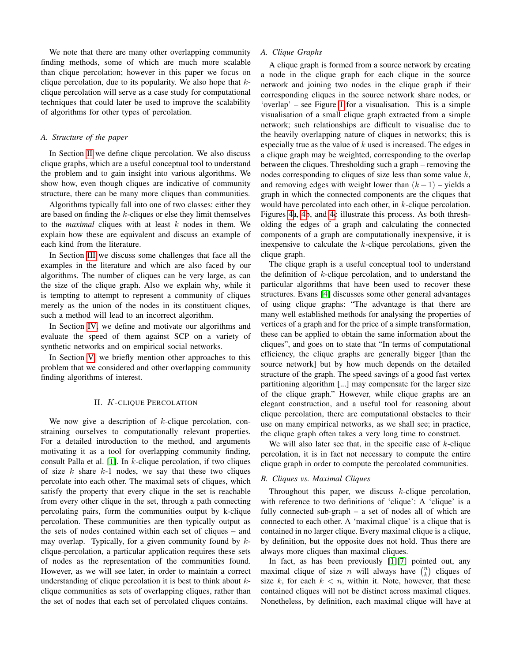We note that there are many other overlapping community finding methods, some of which are much more scalable than clique percolation; however in this paper we focus on clique percolation, due to its popularity. We also hope that  $k$ clique percolation will serve as a case study for computational techniques that could later be used to improve the scalability of algorithms for other types of percolation.

# *A. Structure of the paper*

In Section [II](#page-1-0) we define clique percolation. We also discuss clique graphs, which are a useful conceptual tool to understand the problem and to gain insight into various algorithms. We show how, even though cliques are indicative of community structure, there can be many more cliques than communities.

Algorithms typically fall into one of two classes: either they are based on finding the  $k$ -cliques or else they limit themselves to the *maximal* cliques with at least k nodes in them. We explain how these are equivalent and discuss an example of each kind from the literature.

In Section [III](#page-2-0) we discuss some challenges that face all the examples in the literature and which are also faced by our algorithms. The number of cliques can be very large, as can the size of the clique graph. Also we explain why, while it is tempting to attempt to represent a community of cliques merely as the union of the nodes in its constituent cliques, such a method will lead to an incorrect algorithm.

In Section [IV,](#page-4-0) we define and motivate our algorithms and evaluate the speed of them against SCP on a variety of synthetic networks and on empirical social networks.

In Section [V,](#page-9-0) we briefly mention other approaches to this problem that we considered and other overlapping community finding algorithms of interest.

## II. K-CLIQUE PERCOLATION

<span id="page-1-0"></span>We now give a description of  $k$ -clique percolation, constraining ourselves to computationally relevant properties. For a detailed introduction to the method, and arguments motivating it as a tool for overlapping community finding, consult Palla et al. [\[1\]](#page-11-0). In  $k$ -clique percolation, if two cliques of size  $k$  share  $k-1$  nodes, we say that these two cliques percolate into each other. The maximal sets of cliques, which satisfy the property that every clique in the set is reachable from every other clique in the set, through a path connecting percolating pairs, form the communities output by k-clique percolation. These communities are then typically output as the sets of nodes contained within each set of cliques – and may overlap. Typically, for a given community found by  $k$ clique-percolation, a particular application requires these sets of nodes as the representation of the communities found. However, as we will see later, in order to maintain a correct understanding of clique percolation it is best to think about  $k$ clique communities as sets of overlapping cliques, rather than the set of nodes that each set of percolated cliques contains.

## *A. Clique Graphs*

A clique graph is formed from a source network by creating a node in the clique graph for each clique in the source network and joining two nodes in the clique graph if their corresponding cliques in the source network share nodes, or 'overlap' – see Figure [1](#page-2-1) for a visualisation. This is a simple visualisation of a small clique graph extracted from a simple network; such relationships are difficult to visualise due to the heavily overlapping nature of cliques in networks; this is especially true as the value of  $k$  used is increased. The edges in a clique graph may be weighted, corresponding to the overlap between the cliques. Thresholding such a graph – removing the nodes corresponding to cliques of size less than some value  $k$ , and removing edges with weight lower than  $(k-1)$  – yields a graph in which the connected components are the cliques that would have percolated into each other, in k-clique percolation. Figures [4a](#page-5-0), [4b](#page-5-0), and [4c](#page-5-0) illustrate this process. As both thresholding the edges of a graph and calculating the connected components of a graph are computationally inexpensive, it is inexpensive to calculate the  $k$ -clique percolations, given the clique graph.

The clique graph is a useful conceptual tool to understand the definition of  $k$ -clique percolation, and to understand the particular algorithms that have been used to recover these structures. Evans [\[4\]](#page-11-3) discusses some other general advantages of using clique graphs: "The advantage is that there are many well established methods for analysing the properties of vertices of a graph and for the price of a simple transformation, these can be applied to obtain the same information about the cliques", and goes on to state that "In terms of computational efficiency, the clique graphs are generally bigger [than the source network] but by how much depends on the detailed structure of the graph. The speed savings of a good fast vertex partitioning algorithm [...] may compensate for the larger size of the clique graph." However, while clique graphs are an elegant construction, and a useful tool for reasoning about clique percolation, there are computational obstacles to their use on many empirical networks, as we shall see; in practice, the clique graph often takes a very long time to construct.

We will also later see that, in the specific case of  $k$ -clique percolation, it is in fact not necessary to compute the entire clique graph in order to compute the percolated communities.

# *B. Cliques vs. Maximal Cliques*

Throughout this paper, we discuss  $k$ -clique percolation, with reference to two definitions of 'clique': A 'clique' is a fully connected sub-graph – a set of nodes all of which are connected to each other. A 'maximal clique' is a clique that is contained in no larger clique. Every maximal clique is a clique, by definition, but the opposite does not hold. Thus there are always more cliques than maximal cliques.

In fact, as has been previously [\[1\]](#page-11-0)[\[7\]](#page-11-6) pointed out, any maximal clique of size *n* will always have  $\binom{n}{k}$  cliques of size k, for each  $k < n$ , within it. Note, however, that these contained cliques will not be distinct across maximal cliques. Nonetheless, by definition, each maximal clique will have at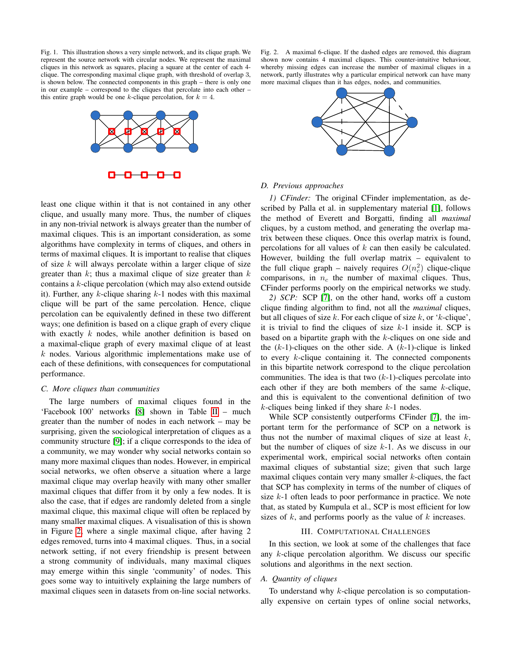<span id="page-2-1"></span>Fig. 1. This illustration shows a very simple network, and its clique graph. We represent the source network with circular nodes. We represent the maximal cliques in this network as squares, placing a square at the center of each 4 clique. The corresponding maximal clique graph, with threshold of overlap 3, is shown below. The connected components in this graph – there is only one in our example – correspond to the cliques that percolate into each other – this entire graph would be one k-clique percolation, for  $k = 4$ .



п Ð

least one clique within it that is not contained in any other clique, and usually many more. Thus, the number of cliques in any non-trivial network is always greater than the number of maximal cliques. This is an important consideration, as some algorithms have complexity in terms of cliques, and others in terms of maximal cliques. It is important to realise that cliques of size  $k$  will always percolate within a larger clique of size greater than  $k$ ; thus a maximal clique of size greater than  $k$ contains a k-clique percolation (which may also extend outside it). Further, any  $k$ -clique sharing  $k-1$  nodes with this maximal clique will be part of the same percolation. Hence, clique percolation can be equivalently defined in these two different ways; one definition is based on a clique graph of every clique with exactly  $k$  nodes, while another definition is based on a maximal-clique graph of every maximal clique of at least  $k$  nodes. Various algorithmic implementations make use of each of these definitions, with consequences for computational performance.

#### *C. More cliques than communities*

The large numbers of maximal cliques found in the 'Facebook 100' networks [\[8\]](#page-11-7) shown in Table [II](#page-3-0) – much greater than the number of nodes in each network – may be surprising, given the sociological interpretation of cliques as a community structure [\[9\]](#page-11-8); if a clique corresponds to the idea of a community, we may wonder why social networks contain so many more maximal cliques than nodes. However, in empirical social networks, we often observe a situation where a large maximal clique may overlap heavily with many other smaller maximal cliques that differ from it by only a few nodes. It is also the case, that if edges are randomly deleted from a single maximal clique, this maximal clique will often be replaced by many smaller maximal cliques. A visualisation of this is shown in Figure [2,](#page-2-2) where a single maximal clique, after having 2 edges removed, turns into 4 maximal cliques. Thus, in a social network setting, if not every friendship is present between a strong community of individuals, many maximal cliques may emerge within this single 'community' of nodes. This goes some way to intuitively explaining the large numbers of maximal cliques seen in datasets from on-line social networks. <span id="page-2-2"></span>Fig. 2. A maximal 6-clique. If the dashed edges are removed, this diagram shown now contains 4 maximal cliques. This counter-intuitive behaviour, whereby missing edges can increase the number of maximal cliques in a network, partly illustrates why a particular empirical network can have many more maximal cliques than it has edges, nodes, and communities.



#### *D. Previous approaches*

*1) CFinder:* The original CFinder implementation, as described by Palla et al. in supplementary material [\[1\]](#page-11-0), follows the method of Everett and Borgatti, finding all *maximal* cliques, by a custom method, and generating the overlap matrix between these cliques. Once this overlap matrix is found, percolations for all values of  $k$  can then easily be calculated. However, building the full overlap matrix – equivalent to the full clique graph – naively requires  $O(n_c^2)$  clique-clique comparisons, in  $n_c$  the number of maximal cliques. Thus, CFinder performs poorly on the empirical networks we study.

*2) SCP:* SCP [\[7\]](#page-11-6), on the other hand, works off a custom clique finding algorithm to find, not all the *maximal* cliques, but all cliques of size k. For each clique of size k, or  $k$ -clique', it is trivial to find the cliques of size  $k-1$  inside it. SCP is based on a bipartite graph with the k-cliques on one side and the  $(k-1)$ -cliques on the other side. A  $(k-1)$ -clique is linked to every  $k$ -clique containing it. The connected components in this bipartite network correspond to the clique percolation communities. The idea is that two  $(k-1)$ -cliques percolate into each other if they are both members of the same  $k$ -clique, and this is equivalent to the conventional definition of two  $k$ -cliques being linked if they share  $k-1$  nodes.

While SCP consistently outperforms CFinder [\[7\]](#page-11-6), the important term for the performance of SCP on a network is thus not the number of maximal cliques of size at least  $k$ , but the number of cliques of size  $k-1$ . As we discuss in our experimental work, empirical social networks often contain maximal cliques of substantial size; given that such large maximal cliques contain very many smaller  $k$ -cliques, the fact that SCP has complexity in terms of the number of cliques of size k-1 often leads to poor performance in practice. We note that, as stated by Kumpula et al., SCP is most efficient for low sizes of  $k$ , and performs poorly as the value of  $k$  increases.

## III. COMPUTATIONAL CHALLENGES

<span id="page-2-0"></span>In this section, we look at some of the challenges that face any k-clique percolation algorithm. We discuss our specific solutions and algorithms in the next section.

## *A. Quantity of cliques*

To understand why  $k$ -clique percolation is so computationally expensive on certain types of online social networks,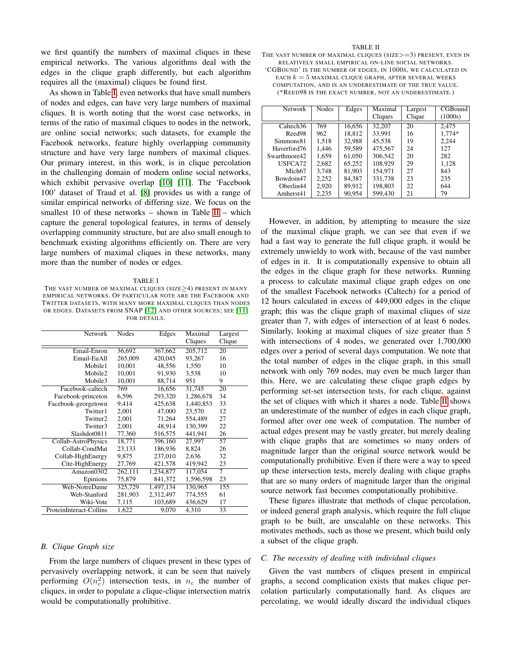we first quantify the numbers of maximal cliques in these empirical networks. The various algorithms deal with the edges in the clique graph differently, but each algorithm requires all the (maximal) cliques be found first.

As shown in Table [I,](#page-3-1) even networks that have small numbers of nodes and edges, can have very large numbers of maximal cliques. It is worth noting that the worst case networks, in terms of the ratio of maximal cliques to nodes in the network, are online social networks; such datasets, for example the Facebook networks, feature highly overlapping community structure and have very large numbers of maximal cliques. Our primary interest, in this work, is in clique percolation in the challenging domain of modern online social networks, which exhibit pervasive overlap [\[10\]](#page-11-9) [\[11\]](#page-11-10). The 'Facebook 100' dataset of Traud et al. [\[8\]](#page-11-7) provides us with a range of similar empirical networks of differing size. We focus on the smallest 10 of these networks – shown in Table [II](#page-3-0) – which capture the general topological features, in terms of densely overlapping community structure, but are also small enough to benchmark existing algorithms efficiently on. There are very large numbers of maximal cliques in these networks, many more than the number of nodes or edges.

<span id="page-3-1"></span>

| TABLE I                                                       |
|---------------------------------------------------------------|
| THE VAST NUMBER OF MAXIMAL CLIQUES (SIZE>4) PRESENT IN MANY   |
| EMPIRICAL NETWORKS. OF PARTICULAR NOTE ARE THE FACEBOOK AND   |
| TWITTER DATASETS, WITH MANY MORE MAXIMAL CLIOUES THAN NODES   |
| OR EDGES. DATASETS FROM SNAP [12] AND OTHER SOURCES; SEE [11] |
| FOR DETAILS.                                                  |

| <b>Network</b>          | <b>Nodes</b> | Edges     | Maximal   | Largest |
|-------------------------|--------------|-----------|-----------|---------|
|                         |              |           | Cliques   | Clique  |
| Email-Enron             | 36,692       | 367,662   | 205,712   | 20      |
| Email-EuAll             | 265,009      | 420,045   | 93.267    | 16      |
| Mobile1                 | 10.001       | 48,556    | 1,550     | 10      |
| Mobile2                 | 10,001       | 91,930    | 3,538     | 10      |
|                         |              |           |           |         |
| Mobile3                 | 10,001       | 88,714    | 951       | 9       |
| Facebook-caltech        | 769          | 16,656    | 31.745    | 20      |
| Facebook-princeton      | 6,596        | 293.320   | 1,286,678 | 34      |
| Facebook-georgetown     | 9,414        | 425,638   | 1,440,853 | 33      |
| Twitter1                | 2,001        | 47,000    | 23,570    | 12      |
| Twitter2                | 2,001        | 71.264    | 554.489   | 27      |
| Twitter3                | 2,001        | 48.914    | 130,399   | 22      |
| Slashdot0811            | 77,360       | 516,575   | 441,941   | 26      |
| Collab-AstroPhysics     | 18.771       | 396,160   | 27.997    | 57      |
| Collab-CondMat          | 23,133       | 186.936   | 8.824     | 26      |
| Collab-HighEnergy       | 9,875        | 237,010   | 2,636     | 32      |
| Cite-HighEnergy         | 27,769       | 421,578   | 419,942   | 23      |
| Amazon0302              | 262,111      | 1,234,877 | 117,054   | 7       |
| Epinions                | 75,879       | 841,372   | 1,596,598 | 23      |
| Web-NotreDame           | 325,729      | 1,497,134 | 130,965   | 155     |
| Web-Stanford            | 281,903      | 2,312,497 | 774,555   | 61      |
| Wiki-Vote               | 7,115        | 103,689   | 436,629   | 17      |
| ProteinInteract-Collins | 1,622        | 9,070     | 4,310     | 33      |

# *B. Clique Graph size*

From the large numbers of cliques present in these types of pervasively overlapping network, it can be seen that naively performing  $O(n_c^2)$  intersection tests, in  $n_c$  the number of cliques, in order to populate a clique-clique intersection matrix would be computationally prohibitive.

#### TABLE II

<span id="page-3-0"></span>THE VAST NUMBER OF MAXIMAL CLIQUES (SIZE>=3) PRESENT, EVEN IN RELATIVELY SMALL EMPIRICAL ON-LINE SOCIAL NETWORKS. 'CGBOUND' IS THE NUMBER OF EDGES, IN 1000S, WE CALCULATED IN EACH  $k = 5$  MAXIMAL CLIQUE GRAPH, AFTER SEVERAL WEEKS COMPUTATION, AND IS AN UNDERESTIMATE OF THE TRUE VALUE. (\*REED98 IS THE EXACT NUMBER, NOT AN UNDERESTIMATE.)

Network | Nodes | Edges | Maximal Cliques Largest Clique **CGBound** (1000s) Caltech36 769 16,656 32,207 20 2,475 Reed98 962 18,812 33,991 16 1,774\*<br>mons81 1,518 32,988 45,538 19 2,244 Simmons81 Haverford76 1,446 59,589 475,567 24 127<br>warthmore42 1,659 61,050 306,542 20 282 Swarthmore 42 1,659 61,050 306,542 20 282<br>USECA72 2.682 65.252 108.929 29 1.128 USFCA72 | 2,682 | 65,252 | 108,929 Mich67 3,748 81,903 154,971 27 843<br>wdoin47 2,252 84,387 331,738 23 235 Bowdoin47 Oberlin44 2,920 89,912 198,803 22 644<br>Amherst41 2,235 90,954 599,430 21 79 Amherst41 | 2,235 | 90,954 | 599,430 | 21 | 79

However, in addition, by attempting to measure the size of the maximal clique graph, we can see that even if we had a fast way to generate the full clique graph, it would be extremely unwieldy to work with, because of the vast number of edges in it. It is computationally expensive to obtain all the edges in the clique graph for these networks. Running a process to calculate maximal clique graph edges on one of the smallest Facebook networks (Caltech) for a period of 12 hours calculated in excess of 449,000 edges in the clique graph; this was the clique graph of maximal cliques of size greater than 7, with edges of intersection of at least 6 nodes. Similarly, looking at maximal cliques of size greater than 5 with intersections of 4 nodes, we generated over 1,700,000 edges over a period of several days computation. We note that the total number of edges in the clique graph, in this small network with only 769 nodes, may even be much larger than this. Here, we are calculating these clique graph edges by performing set-set intersection tests, for each clique, against the set of cliques with which it shares a node. Table [II](#page-3-0) shows an underestimate of the number of edges in each clique graph, formed after over one week of computation. The number of actual edges present may be vastly greater, but merely dealing with clique graphs that are sometimes so many orders of magnitude larger than the original source network would be computationally prohibitive. Even if there were a way to speed up these intersection tests, merely dealing with clique graphs that are so many orders of magnitude larger than the original source network fast becomes computationally prohibitive.

These figures illustrate that methods of clique percolation, or indeed general graph analysis, which require the full clique graph to be built, are unscalable on these networks. This motivates methods, such as those we present, which build only a subset of the clique graph.

## *C. The necessity of dealing with individual cliques*

Given the vast numbers of cliques present in empirical graphs, a second complication exists that makes clique percolation particularly computationally hard. As cliques are percolating, we would ideally discard the individual cliques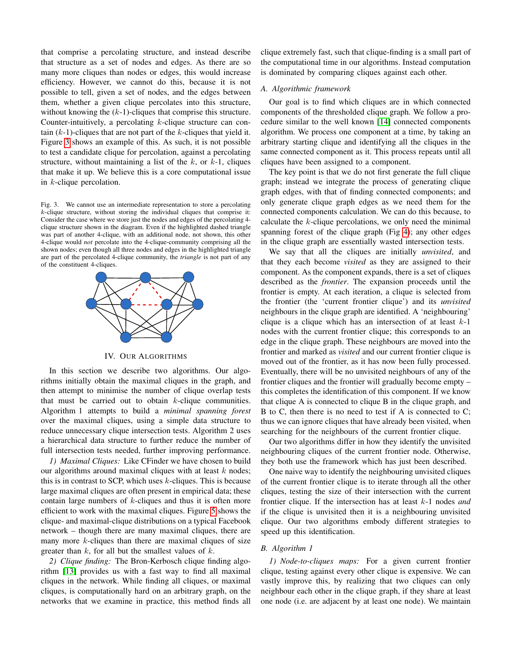that comprise a percolating structure, and instead describe that structure as a set of nodes and edges. As there are so many more cliques than nodes or edges, this would increase efficiency. However, we cannot do this, because it is not possible to tell, given a set of nodes, and the edges between them, whether a given clique percolates into this structure, without knowing the  $(k-1)$ -cliques that comprise this structure. Counter-intuitively, a percolating  $k$ -clique structure can contain  $(k-1)$ -cliques that are not part of the k-cliques that yield it. Figure [3](#page-4-1) shows an example of this. As such, it is not possible to test a candidate clique for percolation, against a percolating structure, without maintaining a list of the  $k$ , or  $k-1$ , cliques that make it up. We believe this is a core computational issue in k-clique percolation.

<span id="page-4-1"></span>Fig. 3. We cannot use an intermediate representation to store a percolating k-clique structure, without storing the individual cliques that comprise it: Consider the case where we store just the nodes and edges of the percolating 4 clique structure shown in the diagram. Even if the highlighted dashed triangle was part of another 4-clique, with an additional node, not shown, this other 4-clique would *not* percolate into the 4-clique-community comprising all the shown nodes; even though all three nodes and edges in the highlighted triangle are part of the percolated 4-clique community, the *triangle* is not part of any of the constituent 4-cliques.



IV. OUR ALGORITHMS

<span id="page-4-0"></span>In this section we describe two algorithms. Our algorithms initially obtain the maximal cliques in the graph, and then attempt to minimise the number of clique overlap tests that must be carried out to obtain  $k$ -clique communities. Algorithm 1 attempts to build a *minimal spanning forest* over the maximal cliques, using a simple data structure to reduce unnecessary clique intersection tests. Algorithm 2 uses a hierarchical data structure to further reduce the number of full intersection tests needed, further improving performance.

*1) Maximal Cliques:* Like CFinder we have chosen to build our algorithms around maximal cliques with at least  $k$  nodes; this is in contrast to SCP, which uses  $k$ -cliques. This is because large maximal cliques are often present in empirical data; these contain large numbers of  $k$ -cliques and thus it is often more efficient to work with the maximal cliques. Figure [5](#page-8-0) shows the clique- and maximal-clique distributions on a typical Facebook network – though there are many maximal cliques, there are many more  $k$ -cliques than there are maximal cliques of size greater than  $k$ , for all but the smallest values of  $k$ .

*2) Clique finding:* The Bron-Kerbosch clique finding algorithm [\[13\]](#page-11-12) provides us with a fast way to find all maximal cliques in the network. While finding all cliques, or maximal cliques, is computationally hard on an arbitrary graph, on the networks that we examine in practice, this method finds all clique extremely fast, such that clique-finding is a small part of the computational time in our algorithms. Instead computation is dominated by comparing cliques against each other.

## <span id="page-4-2"></span>*A. Algorithmic framework*

Our goal is to find which cliques are in which connected components of the thresholded clique graph. We follow a procedure similar to the well known [\[14\]](#page-11-13) connected components algorithm. We process one component at a time, by taking an arbitrary starting clique and identifying all the cliques in the same connected component as it. This process repeats until all cliques have been assigned to a component.

The key point is that we do not first generate the full clique graph; instead we integrate the process of generating clique graph edges, with that of finding connected components; and only generate clique graph edges as we need them for the connected components calculation. We can do this because, to calculate the k-clique percolations, we only need the minimal spanning forest of the clique graph (Fig [4\)](#page-5-0); any other edges in the clique graph are essentially wasted intersection tests.

We say that all the cliques are initially *unvisited*, and that they each become *visited* as they are assigned to their component. As the component expands, there is a set of cliques described as the *frontier*. The expansion proceeds until the frontier is empty. At each iteration, a clique is selected from the frontier (the 'current frontier clique') and its *unvisited* neighbours in the clique graph are identified. A 'neighbouring' clique is a clique which has an intersection of at least  $k-1$ nodes with the current frontier clique; this corresponds to an edge in the clique graph. These neighbours are moved into the frontier and marked as *visited* and our current frontier clique is moved out of the frontier, as it has now been fully processed. Eventually, there will be no unvisited neighbours of any of the frontier cliques and the frontier will gradually become empty – this completes the identification of this component. If we know that clique A is connected to clique B in the clique graph, and B to C, then there is no need to test if A is connected to C; thus we can ignore cliques that have already been visited, when searching for the neighbours of the current frontier clique.

Our two algorithms differ in how they identify the unvisited neighbouring cliques of the current frontier node. Otherwise, they both use the framework which has just been described.

One naive way to identify the neighbouring unvisited cliques of the current frontier clique is to iterate through all the other cliques, testing the size of their intersection with the current frontier clique. If the intersection has at least k-1 nodes *and* if the clique is unvisited then it is a neighbouring unvisited clique. Our two algorithms embody different strategies to speed up this identification.

## *B. Algorithm 1*

*1) Node-to-cliques maps:* For a given current frontier clique, testing against every other clique is expensive. We can vastly improve this, by realizing that two cliques can only neighbour each other in the clique graph, if they share at least one node (i.e. are adjacent by at least one node). We maintain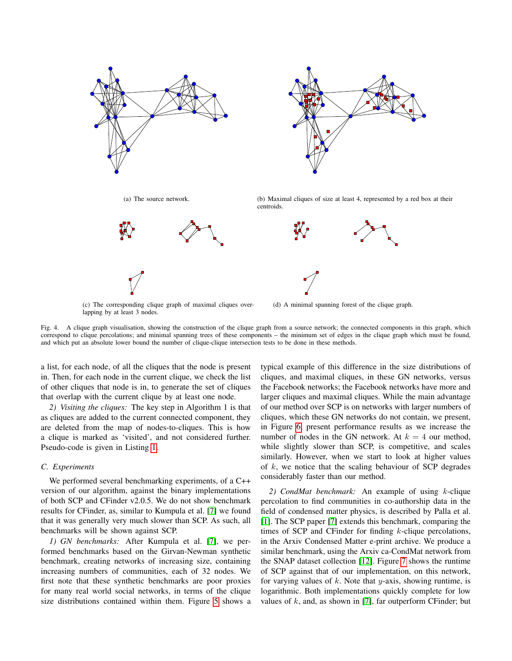



<span id="page-5-0"></span>(c) The corresponding clique graph of maximal cliques overlapping by at least 3 nodes.

(a) The source network. (b) Maximal cliques of size at least 4, represented by a red box at their centroids.



(d) A minimal spanning forest of the clique graph.

Fig. 4. A clique graph visualisation, showing the construction of the clique graph from a source network; the connected components in this graph, which correspond to clique percolations; and minimal spanning trees of these components – the minimum set of edges in the clique graph which must be found, and which put an absolute lower bound the number of clique-clique intersection tests to be done in these methods.

a list, for each node, of all the cliques that the node is present in. Then, for each node in the current clique, we check the list of other cliques that node is in, to generate the set of cliques that overlap with the current clique by at least one node.

*2) Visiting the cliques:* The key step in Algorithm 1 is that as cliques are added to the current connected component, they are deleted from the map of nodes-to-cliques. This is how a clique is marked as 'visited', and not considered further. Pseudo-code is given in Listing [1.](#page-6-0)

# *C. Experiments*

We performed several benchmarking experiments, of a C++ version of our algorithm, against the binary implementations of both SCP and CFinder v2.0.5. We do not show benchmark results for CFinder, as, similar to Kumpula et al. [\[7\]](#page-11-6) we found that it was generally very much slower than SCP. As such, all benchmarks will be shown against SCP.

*1) GN benchmarks:* After Kumpula et al. [\[7\]](#page-11-6), we performed benchmarks based on the Girvan-Newman synthetic benchmark, creating networks of increasing size, containing increasing numbers of communities, each of 32 nodes. We first note that these synthetic benchmarks are poor proxies for many real world social networks, in terms of the clique size distributions contained within them. Figure [5](#page-8-0) shows a typical example of this difference in the size distributions of cliques, and maximal cliques, in these GN networks, versus the Facebook networks; the Facebook networks have more and larger cliques and maximal cliques. While the main advantage of our method over SCP is on networks with larger numbers of cliques, which these GN networks do not contain, we present, in Figure [6,](#page-6-1) present performance results as we increase the number of nodes in the GN network. At  $k = 4$  our method, while slightly slower than SCP, is competitive, and scales similarly. However, when we start to look at higher values of  $k$ , we notice that the scaling behaviour of SCP degrades considerably faster than our method.

*2) CondMat benchmark:* An example of using k-clique percolation to find communities in co-authorship data in the field of condensed matter physics, is described by Palla et al. [\[1\]](#page-11-0). The SCP paper [\[7\]](#page-11-6) extends this benchmark, comparing the times of SCP and CFinder for finding k-clique percolations, in the Arxiv Condensed Matter e-print archive. We produce a similar benchmark, using the Arxiv ca-CondMat network from the SNAP dataset collection [\[12\]](#page-11-11). Figure [7](#page-8-1) shows the runtime of SCP against that of our implementation, on this network, for varying values of k. Note that y-axis, showing runtime, is logarithmic. Both implementations quickly complete for low values of  $k$ , and, as shown in [\[7\]](#page-11-6), far outperform CFinder; but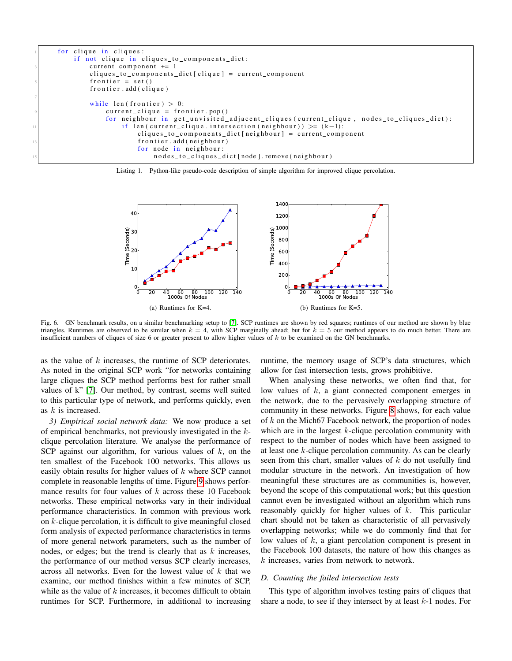```
for clique in cliques:
         if not clique in cliques_to_components_dict:
             current component += 1cliques_to_components_dict [clique] = current_component
              frontier = set()frontier.add (clique)
7
              while len (frontier) > 0:
                  current\_clique = frontier.pop()for neighbour in get_unvisited_adjacent_cliques(current_clique, nodes_to_cliques_dict):
                      if len (current\_clique. intersection (neighbor)) >= (k-1):cliques_to_components_dict [neighbour] = current_component
                          frontier.add (neighbour)
                          for node in neighbour:
                              no des_to_cliques_dict [node].remove (neighbour)
```




<span id="page-6-1"></span>Fig. 6. GN benchmark results, on a similar benchmarking setup to [\[7\]](#page-11-6). SCP runtimes are shown by red squares; runtimes of our method are shown by blue triangles. Runtimes are observed to be similar when  $k = 4$ , with SCP marginally ahead; but for  $k = 5$  our method appears to do much better. There are insufficient numbers of cliques of size 6 or greater present to allow higher values of  $k$  to be examined on the GN benchmarks.

as the value of k increases, the runtime of SCP deteriorates. As noted in the original SCP work "for networks containing large cliques the SCP method performs best for rather small values of k" [\[7\]](#page-11-6). Our method, by contrast, seems well suited to this particular type of network, and performs quickly, even as k is increased.

*3) Empirical social network data:* We now produce a set of empirical benchmarks, not previously investigated in the kclique percolation literature. We analyse the performance of SCP against our algorithm, for various values of  $k$ , on the ten smallest of the Facebook 100 networks. This allows us easily obtain results for higher values of  $k$  where SCP cannot complete in reasonable lengths of time. Figure [9](#page-7-0) shows performance results for four values of  $k$  across these 10 Facebook networks. These empirical networks vary in their individual performance characteristics. In common with previous work on  $k$ -clique percolation, it is difficult to give meaningful closed form analysis of expected performance characteristics in terms of more general network parameters, such as the number of nodes, or edges; but the trend is clearly that as  $k$  increases, the performance of our method versus SCP clearly increases, across all networks. Even for the lowest value of  $k$  that we examine, our method finishes within a few minutes of SCP, while as the value of  $k$  increases, it becomes difficult to obtain runtimes for SCP. Furthermore, in additional to increasing

runtime, the memory usage of SCP's data structures, which allow for fast intersection tests, grows prohibitive.

When analysing these networks, we often find that, for low values of  $k$ , a giant connected component emerges in the network, due to the pervasively overlapping structure of community in these networks. Figure [8](#page-8-2) shows, for each value of k on the Mich67 Facebook network, the proportion of nodes which are in the largest  $k$ -clique percolation community with respect to the number of nodes which have been assigned to at least one k-clique percolation community. As can be clearly seen from this chart, smaller values of  $k$  do not usefully find modular structure in the network. An investigation of how meaningful these structures are as communities is, however, beyond the scope of this computational work; but this question cannot even be investigated without an algorithm which runs reasonably quickly for higher values of k. This particular chart should not be taken as characteristic of all pervasively overlapping networks; while we do commonly find that for low values of k, a giant percolation component is present in the Facebook 100 datasets, the nature of how this changes as  $k$  increases, varies from network to network.

# *D. Counting the failed intersection tests*

This type of algorithm involves testing pairs of cliques that share a node, to see if they intersect by at least  $k-1$  nodes. For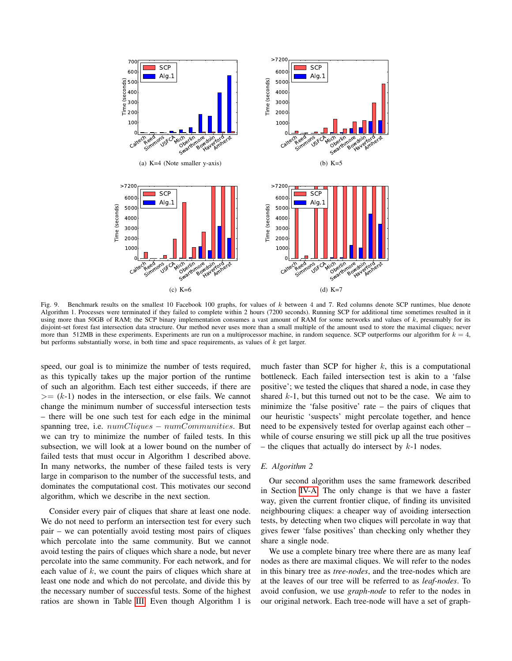

<span id="page-7-0"></span>Fig. 9. Benchmark results on the smallest 10 Facebook 100 graphs, for values of k between 4 and 7. Red columns denote SCP runtimes, blue denote Algorithm 1. Processes were terminated if they failed to complete within 2 hours (7200 seconds). Running SCP for additional time sometimes resulted in it using more than 50GB of RAM; the SCP binary implementation consumes a vast amount of RAM for some networks and values of  $k$ , presumably for its disjoint-set forest fast intersection data structure. Our method never uses more than a small multiple of the amount used to store the maximal cliques; never more than 512MB in these experiments. Experiments are run on a multiprocessor machine, in random sequence. SCP outperforms our algorithm for  $k = 4$ , but performs substantially worse, in both time and space requirements, as values of  $k$  get larger.

speed, our goal is to minimize the number of tests required, as this typically takes up the major portion of the runtime of such an algorithm. Each test either succeeds, if there are  $\geq$  (k-1) nodes in the intersection, or else fails. We cannot change the minimum number of successful intersection tests – there will be one such test for each edge in the minimal spanning tree, i.e.  $numCliques - numCommunities$ . But we can try to minimize the number of failed tests. In this subsection, we will look at a lower bound on the number of failed tests that must occur in Algorithm 1 described above. In many networks, the number of these failed tests is very large in comparison to the number of the successful tests, and dominates the computational cost. This motivates our second algorithm, which we describe in the next section.

Consider every pair of cliques that share at least one node. We do not need to perform an intersection test for every such pair – we can potentially avoid testing most pairs of cliques which percolate into the same community. But we cannot avoid testing the pairs of cliques which share a node, but never percolate into the same community. For each network, and for each value of  $k$ , we count the pairs of cliques which share at least one node and which do not percolate, and divide this by the necessary number of successful tests. Some of the highest ratios are shown in Table [III.](#page-9-1) Even though Algorithm 1 is much faster than SCP for higher  $k$ , this is a computational bottleneck. Each failed intersection test is akin to a 'false positive'; we tested the cliques that shared a node, in case they shared  $k-1$ , but this turned out not to be the case. We aim to minimize the 'false positive' rate – the pairs of cliques that our heuristic 'suspects' might percolate together, and hence need to be expensively tested for overlap against each other – while of course ensuring we still pick up all the true positives – the cliques that actually do intersect by  $k-1$  nodes.

## *E. Algorithm 2*

Our second algorithm uses the same framework described in Section [IV-A.](#page-4-2) The only change is that we have a faster way, given the current frontier clique, of finding its unvisited neighbouring cliques: a cheaper way of avoiding intersection tests, by detecting when two cliques will percolate in way that gives fewer 'false positives' than checking only whether they share a single node.

We use a complete binary tree where there are as many leaf nodes as there are maximal cliques. We will refer to the nodes in this binary tree as *tree-nodes*, and the tree-nodes which are at the leaves of our tree will be referred to as *leaf-nodes*. To avoid confusion, we use *graph-node* to refer to the nodes in our original network. Each tree-node will have a set of graph-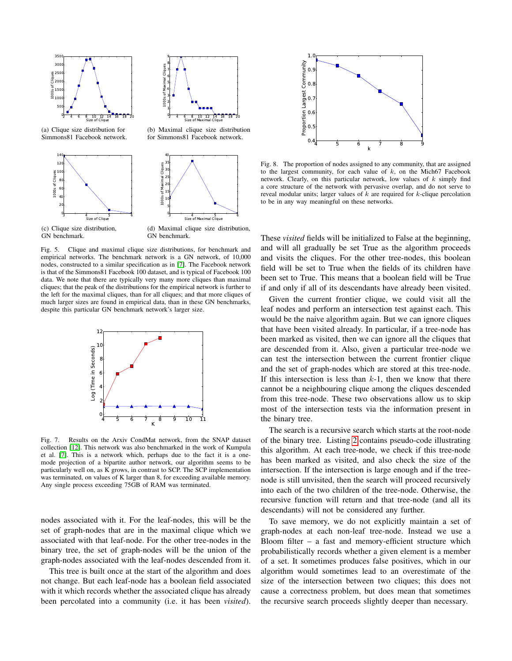



(a) Clique size distribution for Simmons81 Facebook network.



(b) Maximal clique size distribution for Simmons81 Facebook network.



(c) Clique size distribution, GN benchmark.

(d) Maximal clique size distribution, GN benchmark.

<span id="page-8-0"></span>Fig. 5. Clique and maximal clique size distributions, for benchmark and empirical networks. The benchmark network is a GN network, of 10,000 nodes, constructed to a similar specification as in [\[7\]](#page-11-6). The Facebook network is that of the Simmons81 Facebook 100 dataset, and is typical of Facebook 100 data. We note that there are typically very many more cliques than maximal cliques; that the peak of the distributions for the empirical network is further to the left for the maximal cliques, than for all cliques; and that more cliques of much larger sizes are found in empirical data, than in these GN benchmarks, despite this particular GN benchmark network's larger size.



<span id="page-8-1"></span>Fig. 7. Results on the Arxiv CondMat network, from the SNAP dataset collection [\[12\]](#page-11-11). This network was also benchmarked in the work of Kumpula et al. [\[7\]](#page-11-6). This is a network which, perhaps due to the fact it is a onemode projection of a bipartite author network, our algorithm seems to be particularly well on, as K grows, in contrast to SCP. The SCP implementation was terminated, on values of K larger than 8, for exceeding available memory. Any single process exceeding 75GB of RAM was terminated.

nodes associated with it. For the leaf-nodes, this will be the set of graph-nodes that are in the maximal clique which we associated with that leaf-node. For the other tree-nodes in the binary tree, the set of graph-nodes will be the union of the graph-nodes associated with the leaf-nodes descended from it.

This tree is built once at the start of the algorithm and does not change. But each leaf-node has a boolean field associated with it which records whether the associated clique has already been percolated into a community (i.e. it has been *visited*).



<span id="page-8-2"></span>Fig. 8. The proportion of nodes assigned to any community, that are assigned to the largest community, for each value of  $k$ , on the Mich67 Facebook network. Clearly, on this particular network, low values of  $k$  simply find a core structure of the network with pervasive overlap, and do not serve to reveal modular units; larger values of k are required for k-clique percolation to be in any way meaningful on these networks.

These *visited* fields will be initialized to False at the beginning, and will all gradually be set True as the algorithm proceeds and visits the cliques. For the other tree-nodes, this boolean field will be set to True when the fields of its children have been set to True. This means that a boolean field will be True if and only if all of its descendants have already been visited.

Given the current frontier clique, we could visit all the leaf nodes and perform an intersection test against each. This would be the naive algorithm again. But we can ignore cliques that have been visited already. In particular, if a tree-node has been marked as visited, then we can ignore all the cliques that are descended from it. Also, given a particular tree-node we can test the intersection between the current frontier clique and the set of graph-nodes which are stored at this tree-node. If this intersection is less than  $k-1$ , then we know that there cannot be a neighbouring clique among the cliques descended from this tree-node. These two observations allow us to skip most of the intersection tests via the information present in the binary tree.

The search is a recursive search which starts at the root-node of the binary tree. Listing [2](#page-9-2) contains pseudo-code illustrating this algorithm. At each tree-node, we check if this tree-node has been marked as visited, and also check the size of the intersection. If the intersection is large enough and if the treenode is still unvisited, then the search will proceed recursively into each of the two children of the tree-node. Otherwise, the recursive function will return and that tree-node (and all its descendants) will not be considered any further.

To save memory, we do not explicitly maintain a set of graph-nodes at each non-leaf tree-node. Instead we use a Bloom filter – a fast and memory-efficient structure which probabilistically records whether a given element is a member of a set. It sometimes produces false positives, which in our algorithm would sometimes lead to an overestimate of the size of the intersection between two cliques; this does not cause a correctness problem, but does mean that sometimes the recursive search proceeds slightly deeper than necessary.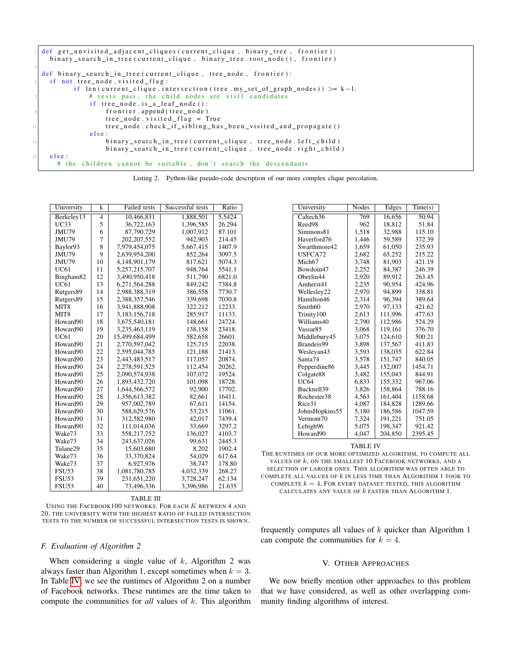```
def get_unvisited_adjacent_cliques(current_clique, binary_tree, frontier):
    binary_search_in_tree (current_clique, binary_tree.root_node(), frontier)
3
  def binary_search_in_tree (current_clique, tree_node, frontier):
    if not tree_node.visited_flag:
          if len(current_clique.intersection(tree.my_set_of_graph nodes)) \ge k-l:# tests pass, the child nodes are still candidates
               if tree-node.is_a_length_model():
                   frontier.append (tree_node)
                   tree\_node. visited_flag = True
                   \label{thm:rel} \texttt{tree\_node} \ . \ \texttt{check\_if\_sibling\_has\_been\_visited\_and\_propagate} \, ()e l s e :
13 binary_search_in_tree(current_clique, tree_node.left_child)
                    binary_search_in_tree(current_clique, tree_node.right_child)
15 else:
      # the children cannot be suitable, don't search the descendants
```

|  |  |  |  |  |  |  |  | Listing 2. Python-like pseudo-code description of our more complex clique percolation. |
|--|--|--|--|--|--|--|--|----------------------------------------------------------------------------------------|
|--|--|--|--|--|--|--|--|----------------------------------------------------------------------------------------|

| University            | $\overline{\mathbf{k}}$ | Failed tests   | Successful tests | Ratio  |
|-----------------------|-------------------------|----------------|------------------|--------|
| Berkeley13            | $\overline{4}$          | 10,466,831     | 1,888,501        | 5.5424 |
| UC33                  | 5                       | 36,722,163     | 1,396,585        | 26.294 |
| JMU79                 | 6                       | 87.790.729     | 1,007,912        | 87.101 |
| JMU79                 | 7                       | 202, 207, 552  | 942,903          | 214.45 |
| Baylor93              | 8                       | 7,979,454,075  | 5,667,415        | 1407.9 |
| JMU79                 | 9                       | 2,639,954,200  | 852,264          | 3097.5 |
| JMU79                 | 10                      | 4,148,901,179  | 817,621          | 5074.3 |
| <b>UC61</b>           | 11                      | 5,257,215,707  | 948,764          | 5541.1 |
| Bingham <sub>82</sub> | 12                      | 3,490,950,418  | 511,790          | 6821.0 |
| <b>UC61</b>           | 13                      | 6,271,564,288  | 849,242          | 7384.8 |
| Rutgers89             | 14                      | 2,988,388,319  | 386,558          | 7730.7 |
| Rutgers89             | 15                      | 2,388,357,546  | 339,698          | 7030.8 |
| MIT <sub>8</sub>      | 16                      | 3,941,888,908  | 322,212          | 12233. |
| MIT <sub>8</sub>      | 17                      | 3,183,156,718  | 285,917          | 11133. |
| Howard90              | 18                      | 3,675,540,181  | 148,661          | 24724. |
| Howard90              | 19                      | 3,235,463,119  | 138,158          | 23418. |
| <b>UC61</b>           | 20                      | 15,499,684,499 | 582,658          | 26601. |
| Howard90              | 21                      | 2,770,597,042  | 125,715          | 22038. |
| Howard90              | 22                      | 2,595,044,785  | 121,188          | 21413. |
| Howard90              | 23                      | 2,443,483,517  | 117,057          | 20874. |
| Howard90              | 24                      | 2,278,591,525  | 112,454          | 20262. |
| Howard90              | 25                      | 2,090,574,938  | 107,072          | 19524. |
| Howard90              | 26                      | 1,893,432,720  | 101,098          | 18728. |
| Howard90              | 27                      | 1,644,566,572  | 92,900           | 17702. |
| Howard90              | 28                      | 1,356,613,382  | 82,661           | 16411. |
| Howard90              | 29                      | 957,002,789    | 67,611           | 14154. |
| Howard90              | 30                      | 588,629,576    | 53,215           | 11061. |
| Howard90              | 31                      | 312,582,980    | 42,017           | 7439.4 |
| Howard90              | 32                      | 111,014,036    | 33,669           | 3297.2 |
| Wake73                | 33                      | 558,217,752    | 136,027          | 4103.7 |
| Wake73                | 34                      | 243,637,026    | 99,631           | 2445.3 |
| Tulane29              | 35                      | 15,603,680     | 8,202            | 1902.4 |
| Wake73                | 36                      | 33,370,824     | 54,029           | 617.64 |
| Wake73                | 37                      | 6,927,976      | 38,747           | 178.80 |
| <b>FSU53</b>          | 38                      | 1,081,780,785  | 4,032,339        | 268.27 |
| <b>FSU53</b>          | 39                      | 231,651,220    | 3,728,247        | 62.134 |
| <b>FSU53</b>          | 40                      | 73,496,336     | 3,396,986        | 21.635 |

TABLE III

<span id="page-9-1"></span>USING THE FACEBOOK100 NETWORKS. FOR EACH  $K$  between 4 and 20, THE UNIVERSITY WITH THE HIGHEST RATIO OF FAILED INTERSECTION TESTS TO THE NUMBER OF SUCCESSFUL INTERSECTION TESTS IS SHOWN.

## *F. Evaluation of Algorithm 2*

When considering a single value of  $k$ , Algorithm 2 was always faster than Algorithm 1, except sometimes when  $k = 3$ . In Table [IV,](#page-9-3) we see the runtimes of Algorithm 2 on a number of Facebook networks. These runtimes are the time taken to compute the communities for *all* values of k. This algorithm

| University            | <b>Nodes</b> | Edges   | Time(s) |
|-----------------------|--------------|---------|---------|
| Caltech <sub>36</sub> | 769          | 16,656  | 50.94   |
| Reed98                | 962          | 18.812  | 51.84   |
| Simmons81             | 1,518        | 32,988  | 115.10  |
| Haverford76           | 1,446        | 59.589  | 372.39  |
| Swarthmore42          | 1,659        | 61,050  | 235.93  |
| USFCA72               | 2,682        | 65,252  | 215.22  |
| Mich <sub>67</sub>    | 3,748        | 81.903  | 421.19  |
| Bowdoin47             | 2,252        | 84.387  | 246.39  |
| Oberlin44             | 2,920        | 89.912  | 263.45  |
| Amherst41             | 2,235        | 90,954  | 424.96  |
| Wellesley22           | 2,970        | 94.899  | 338.81  |
| Hamilton46            | 2,314        | 96,394  | 389.64  |
| Smith <sub>60</sub>   | 2.970        | 97,133  | 421.62  |
| Trinity100            | 2,613        | 111,996 | 477.63  |
| Williams40            | 2,790        | 112,986 | 524.29  |
| Vassar85              | 3,068        | 119,161 | 376.70  |
| Middlebury45          | 3,075        | 124,610 | 500.21  |
| Brandeis99            | 3,898        | 137,567 | 411.83  |
| Wesleyan43            | 3,593        | 138,035 | 622.84  |
| Santa <sub>74</sub>   | 3,578        | 151,747 | 840.05  |
| Pepperdine86          | 3,445        | 152,007 | 1454.71 |
| Colgate <sub>88</sub> | 3,482        | 155,043 | 844.91  |
| <b>UC64</b>           | 6,833        | 155,332 | 967.06  |
| Bucknell39            | 3,826        | 158,864 | 788.16  |
| Rochester38           | 4,563        | 161,404 | 1158.68 |
| Rice31                | 4,087        | 184,828 | 1289.66 |
| JohnsHopkins55        | 5,180        | 186,586 | 1047.59 |
| Vermont70             | 7,324        | 191,221 | 751.05  |
| Lehigh96              | 5,075        | 198.347 | 921.42  |
| Howard90              | 4,047        | 204,850 | 2395.45 |

TABLE IV

<span id="page-9-3"></span>THE RUNTIMES OF OUR MORE OPTIMIZED ALGORITHM, TO COMPUTE ALL VALUES OF k, ON THE SMALLEST 10 FACEBOOK NETWORKS, AND A SELECTION OF LARGER ONES. THIS ALGORITHM WAS OFTEN ABLE TO COMPLETE ALL VALUES OF  $k$  IN LESS TIME THAN ALGORITHM  $1$  TOOK TO COMPLETE  $k = 4$ . FOR EVERY DATASET TESTED, THIS ALGORITHM CALCULATES ANY VALUE OF k FASTER THAN ALGORITHM 1.

frequently computes all values of  $k$  quicker than Algorithm 1 can compute the communities for  $k = 4$ .

## V. OTHER APPROACHES

<span id="page-9-0"></span>We now briefly mention other approaches to this problem that we have considered, as well as other overlapping community finding algorithms of interest.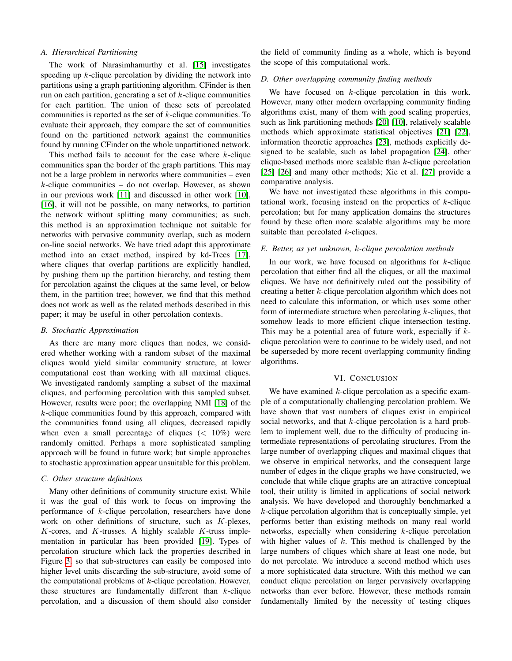## *A. Hierarchical Partitioning*

The work of Narasimhamurthy et al. [\[15\]](#page-11-14) investigates speeding up  $k$ -clique percolation by dividing the network into partitions using a graph partitioning algorithm. CFinder is then run on each partition, generating a set of  $k$ -clique communities for each partition. The union of these sets of percolated communities is reported as the set of  $k$ -clique communities. To evaluate their approach, they compare the set of communities found on the partitioned network against the communities found by running CFinder on the whole unpartitioned network.

This method fails to account for the case where  $k$ -clique communities span the border of the graph partitions. This may not be a large problem in networks where communities – even  $k$ -clique communities – do not overlap. However, as shown in our previous work [\[11\]](#page-11-10) and discussed in other work [\[10\]](#page-11-9), [\[16\]](#page-11-15), it will not be possible, on many networks, to partition the network without splitting many communities; as such, this method is an approximation technique not suitable for networks with pervasive community overlap, such as modern on-line social networks. We have tried adapt this approximate method into an exact method, inspired by kd-Trees [\[17\]](#page-11-16), where cliques that overlap partitions are explicitly handled, by pushing them up the partition hierarchy, and testing them for percolation against the cliques at the same level, or below them, in the partition tree; however, we find that this method does not work as well as the related methods described in this paper; it may be useful in other percolation contexts.

# *B. Stochastic Approximation*

As there are many more cliques than nodes, we considered whether working with a random subset of the maximal cliques would yield similar community structure, at lower computational cost than working with all maximal cliques. We investigated randomly sampling a subset of the maximal cliques, and performing percolation with this sampled subset. However, results were poor; the overlapping NMI [\[18\]](#page-11-17) of the  $k$ -clique communities found by this approach, compared with the communities found using all cliques, decreased rapidly when even a small percentage of cliques  $\langle \langle 10\% \rangle$  were randomly omitted. Perhaps a more sophisticated sampling approach will be found in future work; but simple approaches to stochastic approximation appear unsuitable for this problem.

# *C. Other structure definitions*

Many other definitions of community structure exist. While it was the goal of this work to focus on improving the performance of k-clique percolation, researchers have done work on other definitions of structure, such as K-plexes,  $K$ -cores, and  $K$ -trusses. A highly scalable  $K$ -truss implementation in particular has been provided [\[19\]](#page-11-18). Types of percolation structure which lack the properties described in Figure [3,](#page-4-1) so that sub-structures can easily be composed into higher level units discarding the sub-structure, avoid some of the computational problems of  $k$ -clique percolation. However, these structures are fundamentally different than  $k$ -clique percolation, and a discussion of them should also consider the field of community finding as a whole, which is beyond the scope of this computational work.

# *D. Other overlapping community finding methods*

We have focused on  $k$ -clique percolation in this work. However, many other modern overlapping community finding algorithms exist, many of them with good scaling properties, such as link partitioning methods [\[20\]](#page-11-19) [\[10\]](#page-11-9), relatively scalable methods which approximate statistical objectives [\[21\]](#page-11-20) [\[22\]](#page-11-21), information theoretic approaches [\[23\]](#page-11-22), methods explicitly designed to be scalable, such as label propagation [\[24\]](#page-11-23), other clique-based methods more scalable than  $k$ -clique percolation [\[25\]](#page-11-24) [\[26\]](#page-11-25) and many other methods; Xie et al. [\[27\]](#page-11-26) provide a comparative analysis.

We have not investigated these algorithms in this computational work, focusing instead on the properties of  $k$ -clique percolation; but for many application domains the structures found by these often more scalable algorithms may be more suitable than percolated *k*-cliques.

# *E. Better, as yet unknown,* k*-clique percolation methods*

In our work, we have focused on algorithms for  $k$ -clique percolation that either find all the cliques, or all the maximal cliques. We have not definitively ruled out the possibility of creating a better k-clique percolation algorithm which does not need to calculate this information, or which uses some other form of intermediate structure when percolating  $k$ -cliques, that somehow leads to more efficient clique intersection testing. This may be a potential area of future work, especially if  $k$ clique percolation were to continue to be widely used, and not be superseded by more recent overlapping community finding algorithms.

#### VI. CONCLUSION

We have examined  $k$ -clique percolation as a specific example of a computationally challenging percolation problem. We have shown that vast numbers of cliques exist in empirical social networks, and that  $k$ -clique percolation is a hard problem to implement well, due to the difficulty of producing intermediate representations of percolating structures. From the large number of overlapping cliques and maximal cliques that we observe in empirical networks, and the consequent large number of edges in the clique graphs we have constructed, we conclude that while clique graphs are an attractive conceptual tool, their utility is limited in applications of social network analysis. We have developed and thoroughly benchmarked a  $k$ -clique percolation algorithm that is conceptually simple, yet performs better than existing methods on many real world networks, especially when considering k-clique percolation with higher values of  $k$ . This method is challenged by the large numbers of cliques which share at least one node, but do not percolate. We introduce a second method which uses a more sophisticated data structure. With this method we can conduct clique percolation on larger pervasively overlapping networks than ever before. However, these methods remain fundamentally limited by the necessity of testing cliques